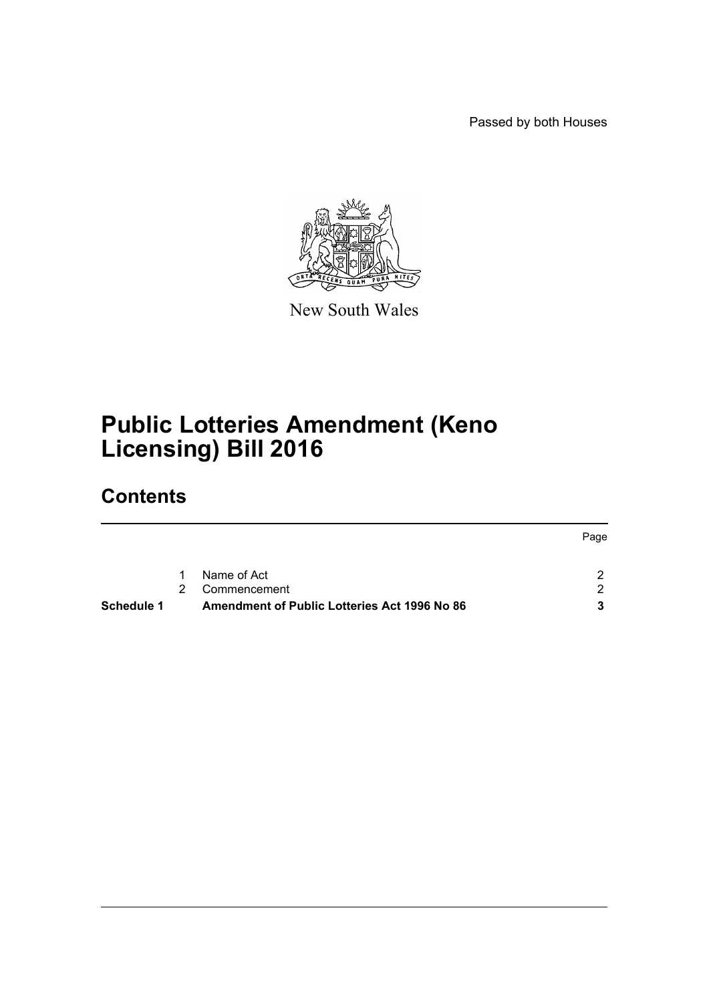Passed by both Houses



New South Wales

# **Public Lotteries Amendment (Keno Licensing) Bill 2016**

## **Contents**

| Schedule 1 |               | Amendment of Public Lotteries Act 1996 No 86 |      |
|------------|---------------|----------------------------------------------|------|
|            | $\mathcal{P}$ | Commencement                                 | ົາ   |
|            | $\mathbf{1}$  | Name of Act                                  |      |
|            |               |                                              | Page |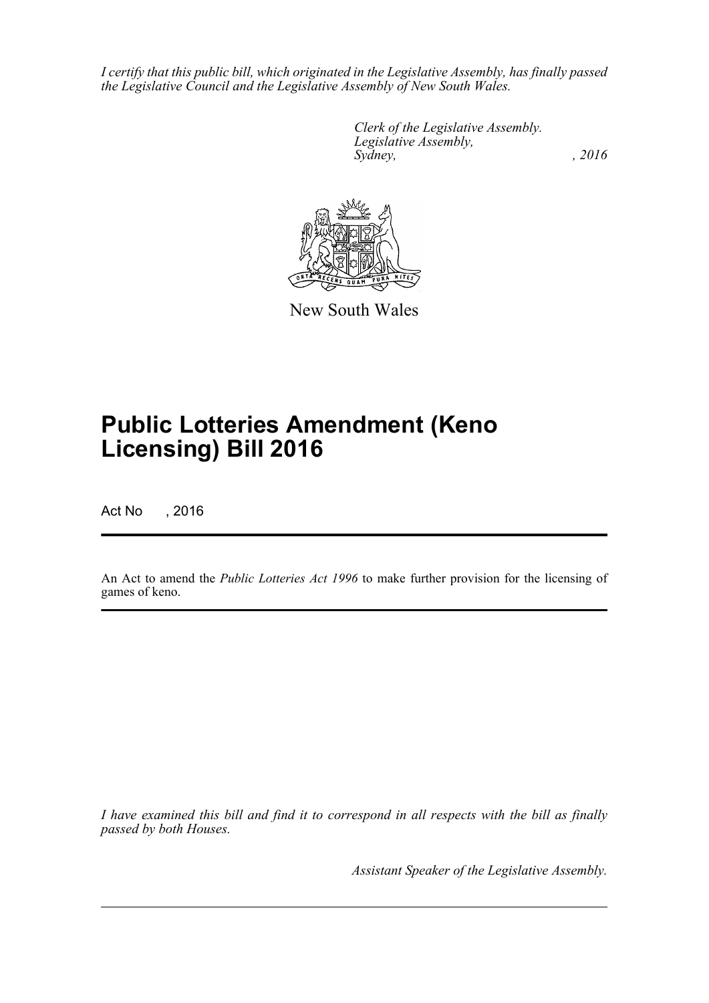*I certify that this public bill, which originated in the Legislative Assembly, has finally passed the Legislative Council and the Legislative Assembly of New South Wales.*

> *Clerk of the Legislative Assembly. Legislative Assembly, Sydney,* , 2016



New South Wales

# **Public Lotteries Amendment (Keno Licensing) Bill 2016**

Act No , 2016

An Act to amend the *Public Lotteries Act 1996* to make further provision for the licensing of games of keno.

*I have examined this bill and find it to correspond in all respects with the bill as finally passed by both Houses.*

*Assistant Speaker of the Legislative Assembly.*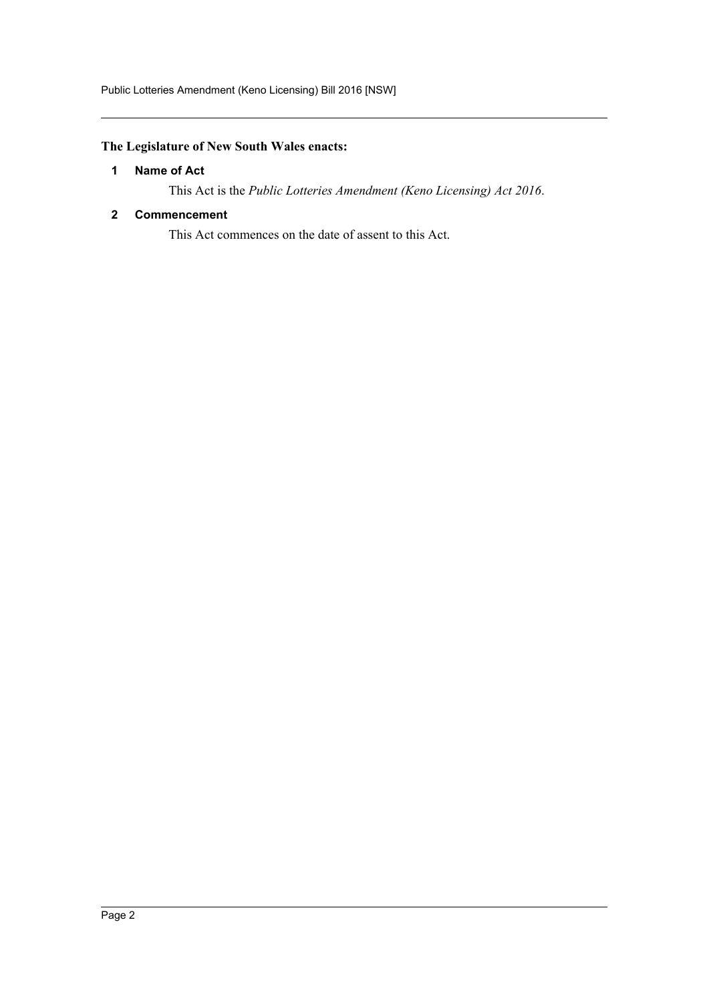Public Lotteries Amendment (Keno Licensing) Bill 2016 [NSW]

### <span id="page-2-0"></span>**The Legislature of New South Wales enacts:**

#### **1 Name of Act**

This Act is the *Public Lotteries Amendment (Keno Licensing) Act 2016*.

#### <span id="page-2-1"></span>**2 Commencement**

This Act commences on the date of assent to this Act.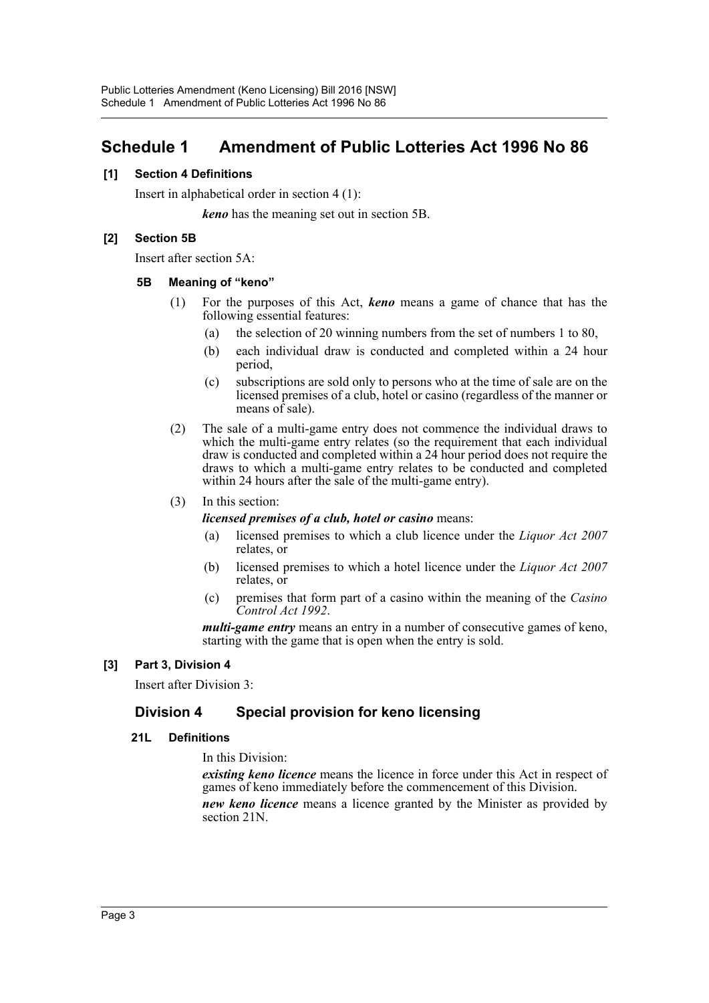### <span id="page-3-0"></span>**Schedule 1 Amendment of Public Lotteries Act 1996 No 86**

#### **[1] Section 4 Definitions**

Insert in alphabetical order in section 4 (1):

*keno* has the meaning set out in section 5B.

#### **[2] Section 5B**

Insert after section 5A:

#### **5B Meaning of "keno"**

- (1) For the purposes of this Act, *keno* means a game of chance that has the following essential features:
	- (a) the selection of 20 winning numbers from the set of numbers 1 to 80,
	- (b) each individual draw is conducted and completed within a 24 hour period,
	- (c) subscriptions are sold only to persons who at the time of sale are on the licensed premises of a club, hotel or casino (regardless of the manner or means of sale).
- (2) The sale of a multi-game entry does not commence the individual draws to which the multi-game entry relates (so the requirement that each individual draw is conducted and completed within a 24 hour period does not require the draws to which a multi-game entry relates to be conducted and completed within 24 hours after the sale of the multi-game entry).

#### (3) In this section:

#### *licensed premises of a club, hotel or casino* means:

- (a) licensed premises to which a club licence under the *Liquor Act 2007* relates, or
- (b) licensed premises to which a hotel licence under the *Liquor Act 2007* relates, or
- (c) premises that form part of a casino within the meaning of the *Casino Control Act 1992*.

*multi-game entry* means an entry in a number of consecutive games of keno, starting with the game that is open when the entry is sold.

#### **[3] Part 3, Division 4**

Insert after Division 3:

### **Division 4 Special provision for keno licensing**

#### **21L Definitions**

In this Division:

*existing keno licence* means the licence in force under this Act in respect of games of keno immediately before the commencement of this Division.

*new keno licence* means a licence granted by the Minister as provided by section 21N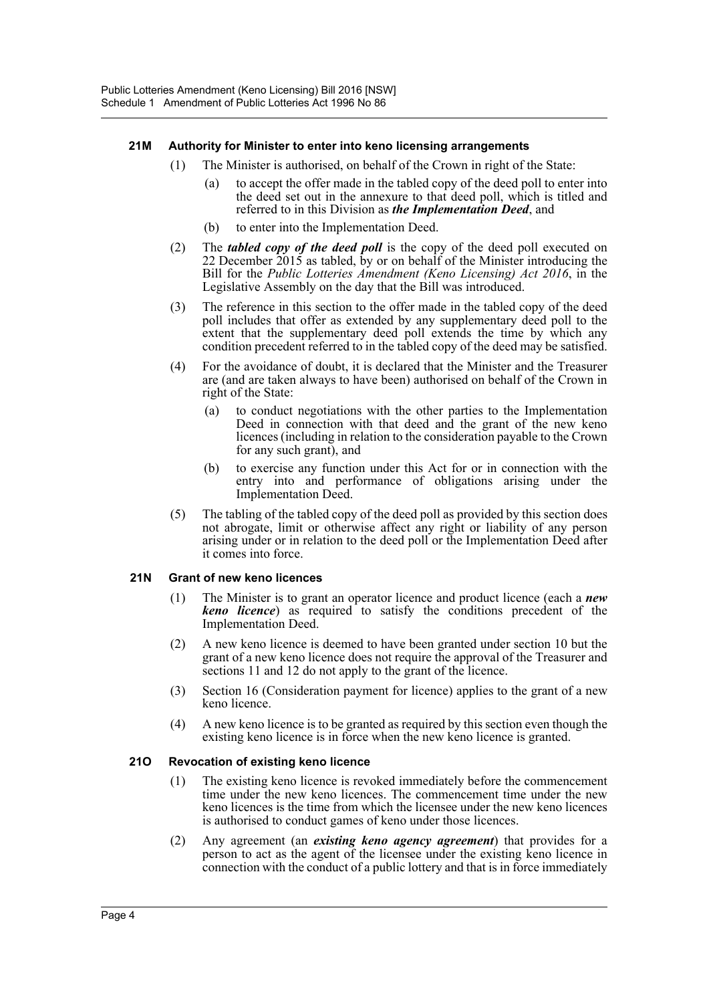#### **21M Authority for Minister to enter into keno licensing arrangements**

- (1) The Minister is authorised, on behalf of the Crown in right of the State:
	- (a) to accept the offer made in the tabled copy of the deed poll to enter into the deed set out in the annexure to that deed poll, which is titled and referred to in this Division as *the Implementation Deed*, and
	- (b) to enter into the Implementation Deed.
- (2) The *tabled copy of the deed poll* is the copy of the deed poll executed on 22 December 2015 as tabled, by or on behalf of the Minister introducing the Bill for the *Public Lotteries Amendment (Keno Licensing) Act 2016*, in the Legislative Assembly on the day that the Bill was introduced.
- (3) The reference in this section to the offer made in the tabled copy of the deed poll includes that offer as extended by any supplementary deed poll to the extent that the supplementary deed poll extends the time by which any condition precedent referred to in the tabled copy of the deed may be satisfied.
- (4) For the avoidance of doubt, it is declared that the Minister and the Treasurer are (and are taken always to have been) authorised on behalf of the Crown in right of the State:
	- (a) to conduct negotiations with the other parties to the Implementation Deed in connection with that deed and the grant of the new keno licences (including in relation to the consideration payable to the Crown for any such grant), and
	- (b) to exercise any function under this Act for or in connection with the entry into and performance of obligations arising under the Implementation Deed.
- (5) The tabling of the tabled copy of the deed poll as provided by this section does not abrogate, limit or otherwise affect any right or liability of any person arising under or in relation to the deed poll or the Implementation Deed after it comes into force.

#### **21N Grant of new keno licences**

- (1) The Minister is to grant an operator licence and product licence (each a *new keno licence*) as required to satisfy the conditions precedent of the Implementation Deed.
- (2) A new keno licence is deemed to have been granted under section 10 but the grant of a new keno licence does not require the approval of the Treasurer and sections 11 and 12 do not apply to the grant of the licence.
- (3) Section 16 (Consideration payment for licence) applies to the grant of a new keno licence.
- (4) A new keno licence is to be granted as required by this section even though the existing keno licence is in force when the new keno licence is granted.

#### **21O Revocation of existing keno licence**

- (1) The existing keno licence is revoked immediately before the commencement time under the new keno licences. The commencement time under the new keno licences is the time from which the licensee under the new keno licences is authorised to conduct games of keno under those licences.
- (2) Any agreement (an *existing keno agency agreement*) that provides for a person to act as the agent of the licensee under the existing keno licence in connection with the conduct of a public lottery and that is in force immediately